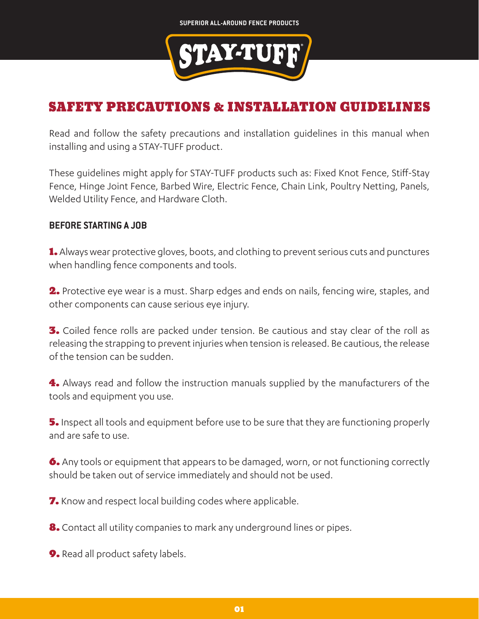

## SAFETY PRECAUTIONS & INSTALLATION GUIDELINES

Read and follow the safety precautions and installation guidelines in this manual when installing and using a STAY-TUFF product.

These guidelines might apply for STAY-TUFF products such as: Fixed Knot Fence, Stiff-Stay Fence, Hinge Joint Fence, Barbed Wire, Electric Fence, Chain Link, Poultry Netting, Panels, Welded Utility Fence, and Hardware Cloth.

## **BEFORE STARTING A JOB**

1. Always wear protective gloves, boots, and clothing to prevent serious cuts and punctures when handling fence components and tools.

2. Protective eye wear is a must. Sharp edges and ends on nails, fencing wire, staples, and other components can cause serious eye injury.

**3.** Coiled fence rolls are packed under tension. Be cautious and stay clear of the roll as releasing the strapping to prevent injuries when tension is released. Be cautious, the release of the tension can be sudden.

4. Always read and follow the instruction manuals supplied by the manufacturers of the tools and equipment you use.

5. Inspect all tools and equipment before use to be sure that they are functioning properly and are safe to use.

6. Any tools or equipment that appears to be damaged, worn, or not functioning correctly should be taken out of service immediately and should not be used.

7. Know and respect local building codes where applicable.

8. Contact all utility companies to mark any underground lines or pipes.

9. Read all product safety labels.